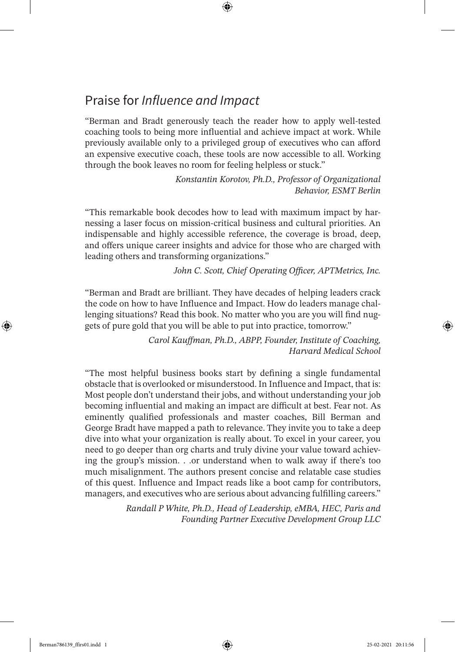⊕

#### Praise for *Influence and Impact*

"Berman and Bradt generously teach the reader how to apply well-tested coaching tools to being more influential and achieve impact at work. While previously available only to a privileged group of executives who can afford an expensive executive coach, these tools are now accessible to all. Working through the book leaves no room for feeling helpless or stuck."

> *Konstantin Korotov, Ph.D., Professor of Organizational Behavior, ESMT Berlin*

"This remarkable book decodes how to lead with maximum impact by harnessing a laser focus on mission-critical business and cultural priorities. An indispensable and highly accessible reference, the coverage is broad, deep, and offers unique career insights and advice for those who are charged with leading others and transforming organizations."

*John C. Scott, Chief Operating Officer, APTMetrics, Inc.*

"Berman and Bradt are brilliant. They have decades of helping leaders crack the code on how to have Influence and Impact. How do leaders manage challenging situations? Read this book. No matter who you are you will find nuggets of pure gold that you will be able to put into practice, tomorrow."

> *Carol Kauffman, Ph.D., ABPP, Founder, Institute of Coaching, Harvard Medical School*

"The most helpful business books start by defining a single fundamental obstacle that is overlooked or misunderstood. In Influence and Impact, that is: Most people don't understand their jobs, and without understanding your job becoming influential and making an impact are difficult at best. Fear not. As eminently qualified professionals and master coaches, Bill Berman and George Bradt have mapped a path to relevance. They invite you to take a deep dive into what your organization is really about. To excel in your career, you need to go deeper than org charts and truly divine your value toward achieving the group's mission. . .or understand when to walk away if there's too much misalignment. The authors present concise and relatable case studies of this quest. Influence and Impact reads like a boot camp for contributors, managers, and executives who are serious about advancing fulfilling careers."

> *Randall P White, Ph.D., Head of Leadership, eMBA, HEC, Paris and Founding Partner Executive Development Group LLC*

⊕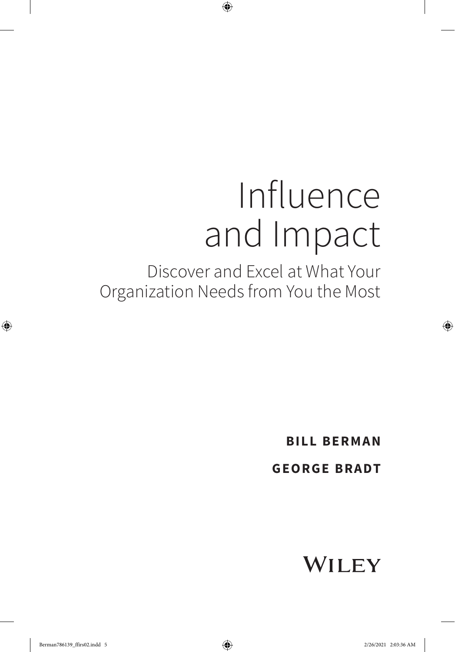# Influence and Impact

Discover and Excel at What Your Organization Needs from You the Most

 $\bigoplus$ 

**BILL BERMAN**

**GEORGE BRADT**

## WILEY

 $\bigoplus$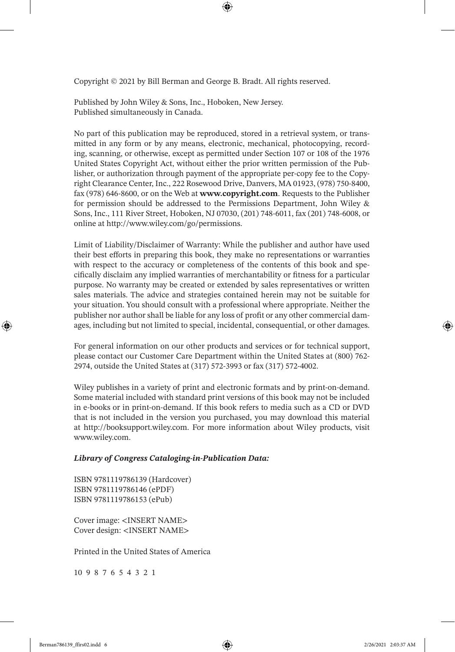Copyright © 2021 by Bill Berman and George B. Bradt. All rights reserved.

Published by John Wiley & Sons, Inc., Hoboken, New Jersey. Published simultaneously in Canada.

No part of this publication may be reproduced, stored in a retrieval system, or transmitted in any form or by any means, electronic, mechanical, photocopying, recording, scanning, or otherwise, except as permitted under Section 107 or 108 of the 1976 United States Copyright Act, without either the prior written permission of the Publisher, or authorization through payment of the appropriate per-copy fee to the Copyright Clearance Center, Inc., 222 Rosewood Drive, Danvers, MA 01923, (978) 750-8400, fax (978) 646-8600, or on the Web at **www.copyright.com**. Requests to the Publisher for permission should be addressed to the Permissions Department, John Wiley & Sons, Inc., 111 River Street, Hoboken, NJ 07030, (201) 748-6011, fax (201) 748-6008, or online at http://www.wiley.com/go/permissions.

Limit of Liability/Disclaimer of Warranty: While the publisher and author have used their best efforts in preparing this book, they make no representations or warranties with respect to the accuracy or completeness of the contents of this book and specifically disclaim any implied warranties of merchantability or fitness for a particular purpose. No warranty may be created or extended by sales representatives or written sales materials. The advice and strategies contained herein may not be suitable for your situation. You should consult with a professional where appropriate. Neither the publisher nor author shall be liable for any loss of profit or any other commercial damages, including but not limited to special, incidental, consequential, or other damages.

For general information on our other products and services or for technical support, please contact our Customer Care Department within the United States at (800) 762- 2974, outside the United States at (317) 572-3993 or fax (317) 572-4002.

Wiley publishes in a variety of print and electronic formats and by print-on-demand. Some material included with standard print versions of this book may not be included in e-books or in print-on-demand. If this book refers to media such as a CD or DVD that is not included in the version you purchased, you may download this material at http://booksupport.wiley.com. For more information about Wiley products, visit www.wiley.com.

#### *Library of Congress Cataloging-in-Publication Data:*

ISBN 9781119786139 (Hardcover) ISBN 9781119786146 (ePDF) ISBN 9781119786153 (ePub)

Cover image: <INSERT NAME> Cover design: <INSERT NAME>

Printed in the United States of America

10 9 8 7 6 5 4 3 2 1

Berman786139\_ffirs02.indd 6 2/26/2021 2:03:37 AM

↔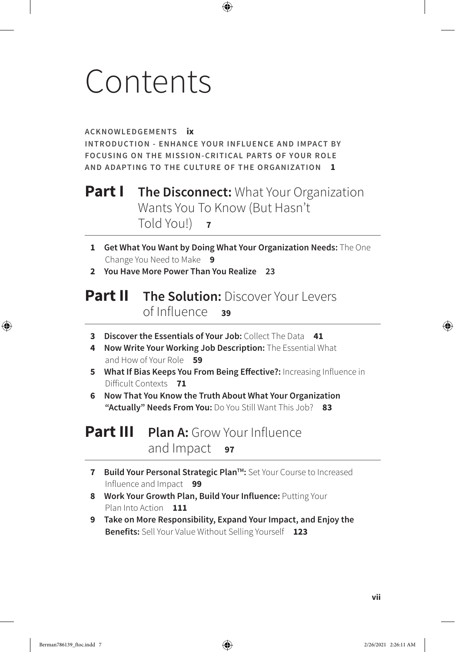# Contents

#### **ACKNOWLEDGEMENTS ix**

**INTRODUCTION - ENHANCE YOUR INFLUENCE AND IMPACT BY FOCUSING ON THE MISSION-CRITICAL PARTS OF YOUR ROLE AND ADAPTING TO THE CULTURE OF THE ORGANIZATION 1**

#### **Part I** The Disconnect: What Your Organization Wants You To Know (But Hasn't Told You!) **<sup>7</sup>**

⊕

- **1 Get What You Want by Doing What Your Organization Needs:** The One Change You Need to Make **9**
- **2 You Have More Power Than You Realize 23**

#### **Part II** The Solution: Discover Your Levers of Influence **<sup>39</sup>**

- **3 Discover the Essentials of Your Job:** Collect The Data **41**
- **4 Now Write Your Working Job Description:** The Essential What and How of Your Role **59**
- **5 What If Bias Keeps You From Being Effective?:** Increasing Influence in Difficult Contexts **71**
- **6 Now That You Know the Truth About What Your Organization "Actually" Needs From You:** Do You Still Want This Job? **83**

#### **Part III Plan A:** Grow Your Influence and Impact **<sup>97</sup>**

- **7 Build Your Personal Strategic PlanTM:** Set Your Course to Increased Influence and Impact **99**
- **8 Work Your Growth Plan, Build Your Influence:** Putting Your Plan Into Action **111**
- **9 Take on More Responsibility, Expand Your Impact, and Enjoy the Benefits:** Sell Your Value Without Selling Yourself **123**

⊕

↔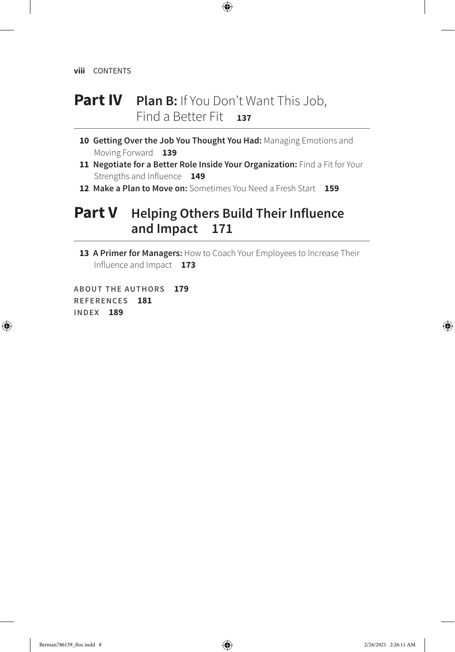#### **Part IV** Plan B: If You Don't Want This Job, Find a Better Fit **<sup>137</sup>**

**10 Getting Over the Job You Thought You Had:** Managing Emotions and Moving Forward **139**

 $\bigoplus$ 

- **11 Negotiate for a Better Role Inside Your Organization:** Find a Fit for Your Strengths and Influence **149**
- **12 Make a Plan to Move on:** Sometimes You Need a Fresh Start **159**

#### **Part V Helping Others Build Their Influence and Impact 171**

13 A Primer for Managers: How to Coach Your Employees to Increase Their Influence and Impact **173**

**ABOUT THE AUTHORS 179 REFERENCES 181 INDEX 189**

 $\bigoplus$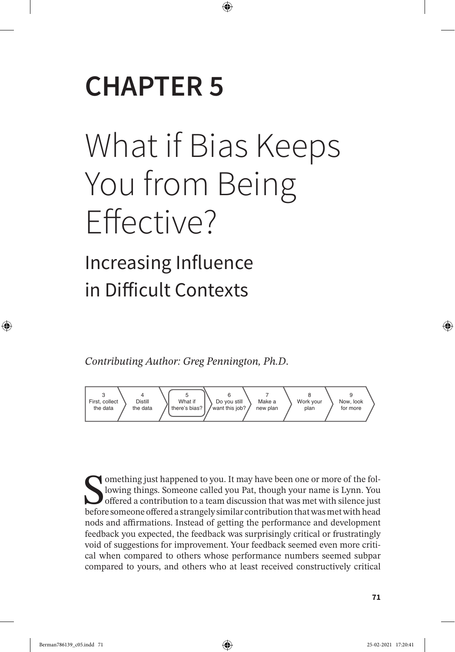## **CHAPTER 5**

# What if Bias Keeps You from Being Effective?

⊕

Increasing Influence in Difficult Contexts

*Contributing Author: Greg Pennington, Ph.D*.



Someone of the following things. Someone called you Pat, though your name is Lynn. You offered a contribution to a team discussion that was met with silence just before someone offered a strangely similar contribution that omething just happened to you. It may have been one or more of the following things. Someone called you Pat, though your name is Lynn. You offered a contribution to a team discussion that was met with silence just nods and affirmations. Instead of getting the performance and development feedback you expected, the feedback was surprisingly critical or frustratingly void of suggestions for improvement. Your feedback seemed even more critical when compared to others whose performance numbers seemed subpar compared to yours, and others who at least received constructively critical

⊕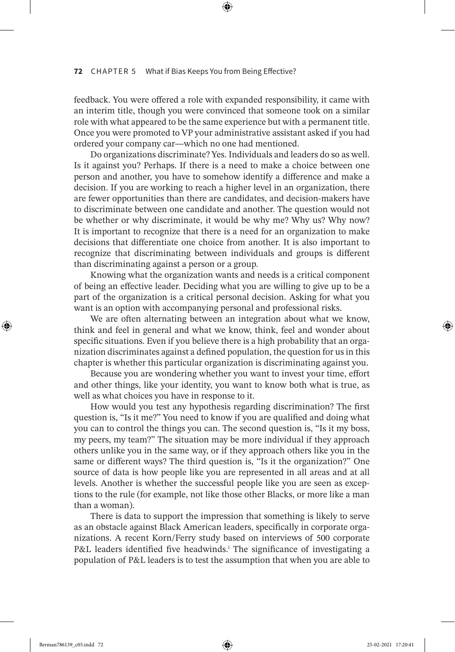#### **72** CHAPTER 5 What if Bias Keeps You from Being Effective?

feedback. You were offered a role with expanded responsibility, it came with an interim title, though you were convinced that someone took on a similar role with what appeared to be the same experience but with a permanent title. Once you were promoted to VP your administrative assistant asked if you had ordered your company car—which no one had mentioned.

Do organizations discriminate? Yes. Individuals and leaders do so as well. Is it against you? Perhaps. If there is a need to make a choice between one person and another, you have to somehow identify a difference and make a decision. If you are working to reach a higher level in an organization, there are fewer opportunities than there are candidates, and decision-makers have to discriminate between one candidate and another. The question would not be whether or why discriminate, it would be why me? Why us? Why now? It is important to recognize that there is a need for an organization to make decisions that differentiate one choice from another. It is also important to recognize that discriminating between individuals and groups is different than discriminating against a person or a group.

Knowing what the organization wants and needs is a critical component of being an effective leader. Deciding what you are willing to give up to be a part of the organization is a critical personal decision. Asking for what you want is an option with accompanying personal and professional risks.

We are often alternating between an integration about what we know, think and feel in general and what we know, think, feel and wonder about specific situations. Even if you believe there is a high probability that an organization discriminates against a defined population, the question for us in this chapter is whether this particular organization is discriminating against you.

Because you are wondering whether you want to invest your time, effort and other things, like your identity, you want to know both what is true, as well as what choices you have in response to it.

How would you test any hypothesis regarding discrimination? The first question is, "Is it me?" You need to know if you are qualified and doing what you can to control the things you can. The second question is, "Is it my boss, my peers, my team?" The situation may be more individual if they approach others unlike you in the same way, or if they approach others like you in the same or different ways? The third question is, "Is it the organization?" One source of data is how people like you are represented in all areas and at all levels. Another is whether the successful people like you are seen as exceptions to the rule (for example, not like those other Blacks, or more like a man than a woman).

There is data to support the impression that something is likely to serve as an obstacle against Black American leaders, specifically in corporate organizations. A recent Korn/Ferry study based on interviews of 500 corporate P&L leaders identified five headwinds.<sup>i</sup> The significance of investigating a population of P&L leaders is to test the assumption that when you are able to

↔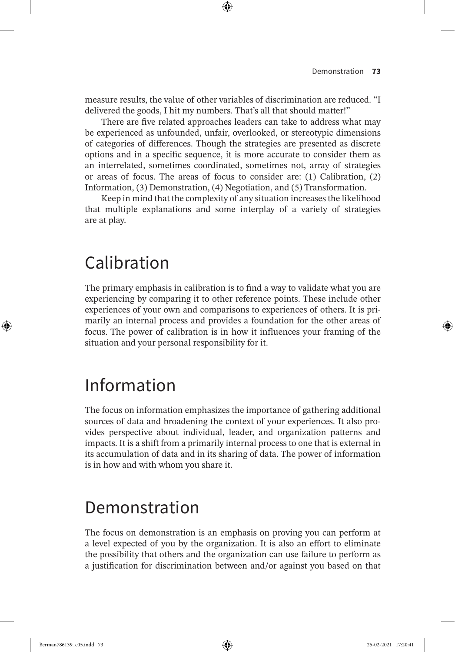measure results, the value of other variables of discrimination are reduced. "I delivered the goods, I hit my numbers. That's all that should matter!"

 $\textcircled{\scriptsize{+}}$ 

There are five related approaches leaders can take to address what may be experienced as unfounded, unfair, overlooked, or stereotypic dimensions of categories of differences. Though the strategies are presented as discrete options and in a specific sequence, it is more accurate to consider them as an interrelated, sometimes coordinated, sometimes not, array of strategies or areas of focus. The areas of focus to consider are: (1) Calibration, (2) Information, (3) Demonstration, (4) Negotiation, and (5) Transformation.

Keep in mind that the complexity of any situation increases the likelihood that multiple explanations and some interplay of a variety of strategies are at play.

#### Calibration

The primary emphasis in calibration is to find a way to validate what you are experiencing by comparing it to other reference points. These include other experiences of your own and comparisons to experiences of others. It is primarily an internal process and provides a foundation for the other areas of focus. The power of calibration is in how it influences your framing of the situation and your personal responsibility for it.

## Information

The focus on information emphasizes the importance of gathering additional sources of data and broadening the context of your experiences. It also provides perspective about individual, leader, and organization patterns and impacts. It is a shift from a primarily internal process to one that is external in its accumulation of data and in its sharing of data. The power of information is in how and with whom you share it.

#### Demonstration

The focus on demonstration is an emphasis on proving you can perform at a level expected of you by the organization. It is also an effort to eliminate the possibility that others and the organization can use failure to perform as a justification for discrimination between and/or against you based on that

⊕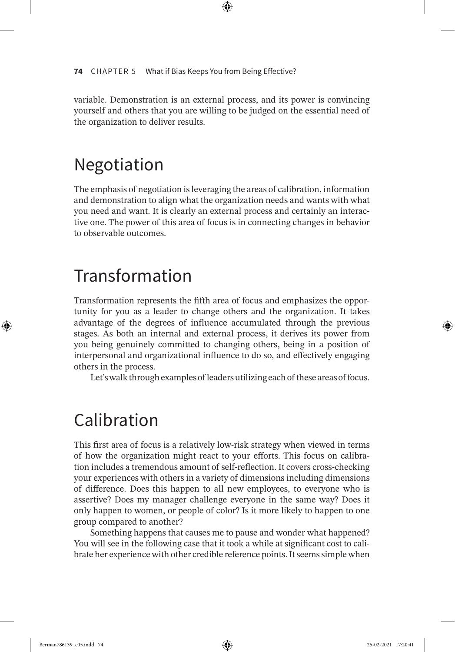variable. Demonstration is an external process, and its power is convincing yourself and others that you are willing to be judged on the essential need of the organization to deliver results.

⊕

### Negotiation

The emphasis of negotiation is leveraging the areas of calibration, information and demonstration to align what the organization needs and wants with what you need and want. It is clearly an external process and certainly an interactive one. The power of this area of focus is in connecting changes in behavior to observable outcomes.

## Transformation

Transformation represents the fifth area of focus and emphasizes the opportunity for you as a leader to change others and the organization. It takes advantage of the degrees of influence accumulated through the previous stages. As both an internal and external process, it derives its power from you being genuinely committed to changing others, being in a position of interpersonal and organizational influence to do so, and effectively engaging others in the process.

Let's walk through examples of leaders utilizing each of these areas of focus.

## Calibration

This first area of focus is a relatively low-risk strategy when viewed in terms of how the organization might react to your efforts. This focus on calibration includes a tremendous amount of self-reflection. It covers cross-checking your experiences with others in a variety of dimensions including dimensions of difference. Does this happen to all new employees, to everyone who is assertive? Does my manager challenge everyone in the same way? Does it only happen to women, or people of color? Is it more likely to happen to one group compared to another?

Something happens that causes me to pause and wonder what happened? You will see in the following case that it took a while at significant cost to calibrate her experience with other credible reference points. It seems simple when

⊕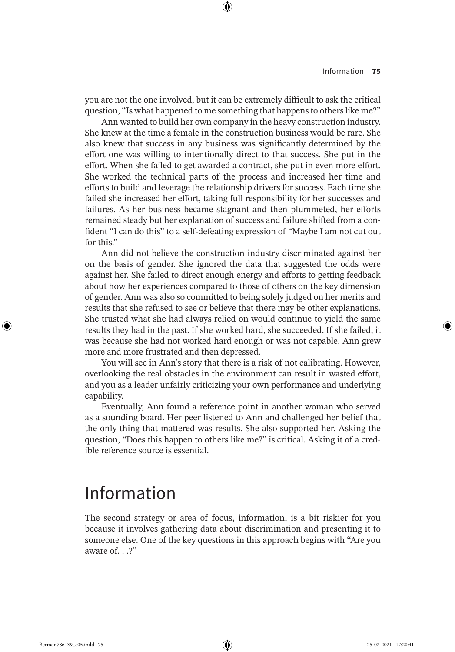you are not the one involved, but it can be extremely difficult to ask the critical question, "Is what happened to me something that happens to others like me?"

⊕

Ann wanted to build her own company in the heavy construction industry. She knew at the time a female in the construction business would be rare. She also knew that success in any business was significantly determined by the effort one was willing to intentionally direct to that success. She put in the effort. When she failed to get awarded a contract, she put in even more effort. She worked the technical parts of the process and increased her time and efforts to build and leverage the relationship drivers for success. Each time she failed she increased her effort, taking full responsibility for her successes and failures. As her business became stagnant and then plummeted, her efforts remained steady but her explanation of success and failure shifted from a confident "I can do this" to a self-defeating expression of "Maybe I am not cut out for this."

Ann did not believe the construction industry discriminated against her on the basis of gender. She ignored the data that suggested the odds were against her. She failed to direct enough energy and efforts to getting feedback about how her experiences compared to those of others on the key dimension of gender. Ann was also so committed to being solely judged on her merits and results that she refused to see or believe that there may be other explanations. She trusted what she had always relied on would continue to yield the same results they had in the past. If she worked hard, she succeeded. If she failed, it was because she had not worked hard enough or was not capable. Ann grew more and more frustrated and then depressed.

You will see in Ann's story that there is a risk of not calibrating. However, overlooking the real obstacles in the environment can result in wasted effort, and you as a leader unfairly criticizing your own performance and underlying capability.

Eventually, Ann found a reference point in another woman who served as a sounding board. Her peer listened to Ann and challenged her belief that the only thing that mattered was results. She also supported her. Asking the question, "Does this happen to others like me?" is critical. Asking it of a credible reference source is essential.

## Information

The second strategy or area of focus, information, is a bit riskier for you because it involves gathering data about discrimination and presenting it to someone else. One of the key questions in this approach begins with "Are you aware of. . .?"

⊕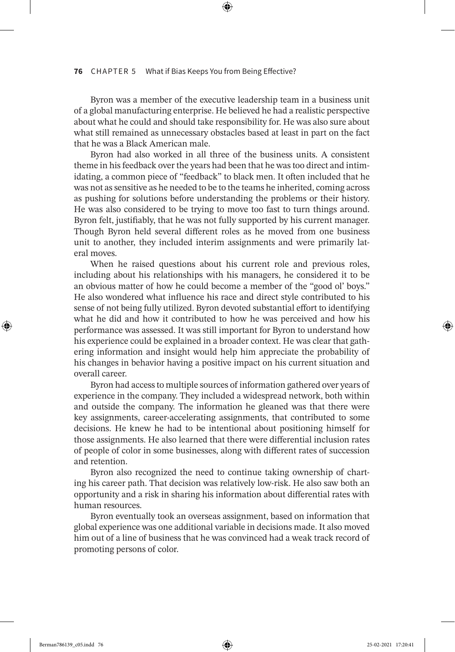#### **76** CHAPTER 5 What if Bias Keeps You from Being Effective?

Byron was a member of the executive leadership team in a business unit of a global manufacturing enterprise. He believed he had a realistic perspective about what he could and should take responsibility for. He was also sure about what still remained as unnecessary obstacles based at least in part on the fact that he was a Black American male.

⊕

Byron had also worked in all three of the business units. A consistent theme in his feedback over the years had been that he was too direct and intimidating, a common piece of "feedback" to black men. It often included that he was not as sensitive as he needed to be to the teams he inherited, coming across as pushing for solutions before understanding the problems or their history. He was also considered to be trying to move too fast to turn things around. Byron felt, justifiably, that he was not fully supported by his current manager. Though Byron held several different roles as he moved from one business unit to another, they included interim assignments and were primarily lateral moves.

When he raised questions about his current role and previous roles, including about his relationships with his managers, he considered it to be an obvious matter of how he could become a member of the "good ol' boys." He also wondered what influence his race and direct style contributed to his sense of not being fully utilized. Byron devoted substantial effort to identifying what he did and how it contributed to how he was perceived and how his performance was assessed. It was still important for Byron to understand how his experience could be explained in a broader context. He was clear that gathering information and insight would help him appreciate the probability of his changes in behavior having a positive impact on his current situation and overall career.

Byron had access to multiple sources of information gathered over years of experience in the company. They included a widespread network, both within and outside the company. The information he gleaned was that there were key assignments, career-accelerating assignments, that contributed to some decisions. He knew he had to be intentional about positioning himself for those assignments. He also learned that there were differential inclusion rates of people of color in some businesses, along with different rates of succession and retention.

Byron also recognized the need to continue taking ownership of charting his career path. That decision was relatively low-risk. He also saw both an opportunity and a risk in sharing his information about differential rates with human resources.

Byron eventually took an overseas assignment, based on information that global experience was one additional variable in decisions made. It also moved him out of a line of business that he was convinced had a weak track record of promoting persons of color.

↔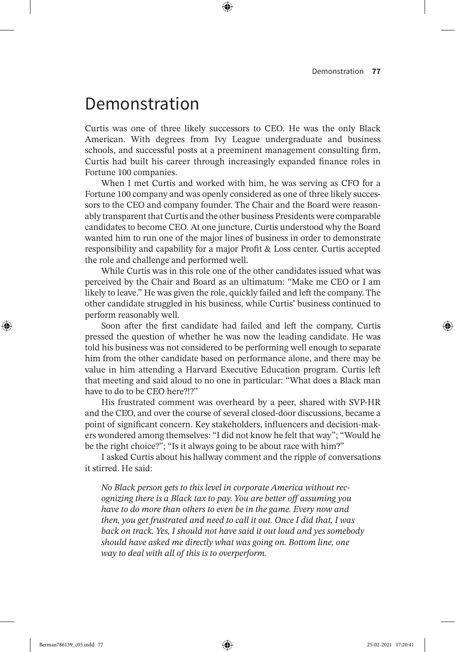#### Demonstration

Curtis was one of three likely successors to CEO. He was the only Black American. With degrees from Ivy League undergraduate and business schools, and successful posts at a preeminent management consulting firm, Curtis had built his career through increasingly expanded finance roles in Fortune 100 companies.

⊕

When I met Curtis and worked with him, he was serving as CFO for a Fortune 100 company and was openly considered as one of three likely successors to the CEO and company founder. The Chair and the Board were reasonably transparent that Curtis and the other business Presidents were comparable candidates to become CEO. At one juncture, Curtis understood why the Board wanted him to run one of the major lines of business in order to demonstrate responsibility and capability for a major Profit & Loss center. Curtis accepted the role and challenge and performed well.

While Curtis was in this role one of the other candidates issued what was perceived by the Chair and Board as an ultimatum: "Make me CEO or I am likely to leave." He was given the role, quickly failed and left the company. The other candidate struggled in his business, while Curtis' business continued to perform reasonably well.

Soon after the first candidate had failed and left the company, Curtis pressed the question of whether he was now the leading candidate. He was told his business was not considered to be performing well enough to separate him from the other candidate based on performance alone, and there may be value in him attending a Harvard Executive Education program. Curtis left that meeting and said aloud to no one in particular: "What does a Black man have to do to be CEO here?!?"

His frustrated comment was overheard by a peer, shared with SVP-HR and the CEO, and over the course of several closed-door discussions, became a point of significant concern. Key stakeholders, influencers and decision-makers wondered among themselves: "I did not know he felt that way"; "Would he be the right choice?"; "Is it always going to be about race with him?"

I asked Curtis about his hallway comment and the ripple of conversations it stirred. He said:

*No Black person gets to this level in corporate America without recognizing there is a Black tax to pay. You are better off assuming you have to do more than others to even be in the game. Every now and then, you get frustrated and need to call it out. Once I did that, I was back on track. Yes, I should not have said it out loud and yes somebody should have asked me directly what was going on. Bottom line, one way to deal with all of this is to overperform.*

↔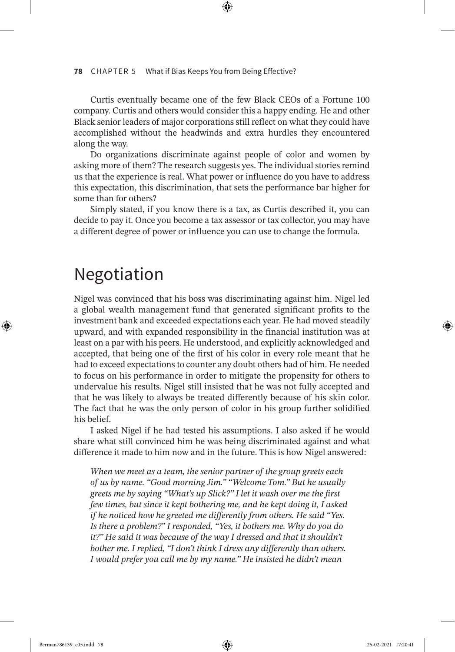#### **78** CHAPTER 5 What if Bias Keeps You from Being Effective?

Curtis eventually became one of the few Black CEOs of a Fortune 100 company. Curtis and others would consider this a happy ending. He and other Black senior leaders of major corporations still reflect on what they could have accomplished without the headwinds and extra hurdles they encountered along the way.

⊕

Do organizations discriminate against people of color and women by asking more of them? The research suggests yes. The individual stories remind us that the experience is real. What power or influence do you have to address this expectation, this discrimination, that sets the performance bar higher for some than for others?

Simply stated, if you know there is a tax, as Curtis described it, you can decide to pay it. Once you become a tax assessor or tax collector, you may have a different degree of power or influence you can use to change the formula.

#### Negotiation

⊕

Nigel was convinced that his boss was discriminating against him. Nigel led a global wealth management fund that generated significant profits to the investment bank and exceeded expectations each year. He had moved steadily upward, and with expanded responsibility in the financial institution was at least on a par with his peers. He understood, and explicitly acknowledged and accepted, that being one of the first of his color in every role meant that he had to exceed expectations to counter any doubt others had of him. He needed to focus on his performance in order to mitigate the propensity for others to undervalue his results. Nigel still insisted that he was not fully accepted and that he was likely to always be treated differently because of his skin color. The fact that he was the only person of color in his group further solidified his belief.

I asked Nigel if he had tested his assumptions. I also asked if he would share what still convinced him he was being discriminated against and what difference it made to him now and in the future. This is how Nigel answered:

*When we meet as a team, the senior partner of the group greets each of us by name. "Good morning Jim." "Welcome Tom." But he usually greets me by saying "What's up Slick?" I let it wash over me the first few times, but since it kept bothering me, and he kept doing it, I asked if he noticed how he greeted me differently from others. He said "Yes. Is there a problem?" I responded, "Yes, it bothers me. Why do you do it?" He said it was because of the way I dressed and that it shouldn't bother me. I replied, "I don't think I dress any differently than others. I would prefer you call me by my name." He insisted he didn't mean* 

↔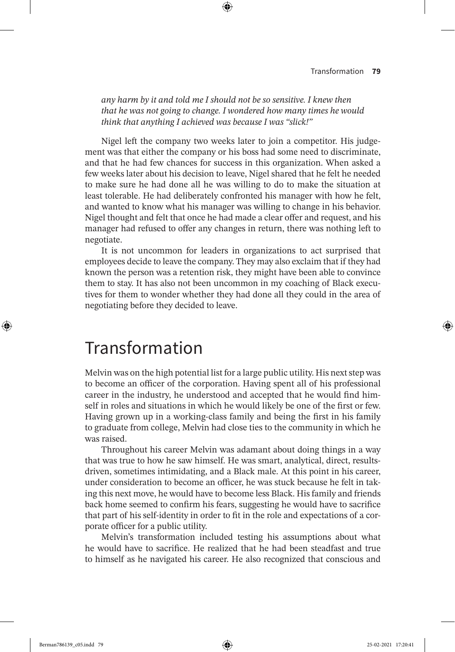*any harm by it and told me I should not be so sensitive. I knew then that he was not going to change. I wondered how many times he would think that anything I achieved was because I was "slick!"*

⊕

Nigel left the company two weeks later to join a competitor. His judgement was that either the company or his boss had some need to discriminate, and that he had few chances for success in this organization. When asked a few weeks later about his decision to leave, Nigel shared that he felt he needed to make sure he had done all he was willing to do to make the situation at least tolerable. He had deliberately confronted his manager with how he felt, and wanted to know what his manager was willing to change in his behavior. Nigel thought and felt that once he had made a clear offer and request, and his manager had refused to offer any changes in return, there was nothing left to negotiate.

It is not uncommon for leaders in organizations to act surprised that employees decide to leave the company. They may also exclaim that if they had known the person was a retention risk, they might have been able to convince them to stay. It has also not been uncommon in my coaching of Black executives for them to wonder whether they had done all they could in the area of negotiating before they decided to leave.

#### Transformation

Melvin was on the high potential list for a large public utility. His next step was to become an officer of the corporation. Having spent all of his professional career in the industry, he understood and accepted that he would find himself in roles and situations in which he would likely be one of the first or few. Having grown up in a working-class family and being the first in his family to graduate from college, Melvin had close ties to the community in which he was raised.

Throughout his career Melvin was adamant about doing things in a way that was true to how he saw himself. He was smart, analytical, direct, resultsdriven, sometimes intimidating, and a Black male. At this point in his career, under consideration to become an officer, he was stuck because he felt in taking this next move, he would have to become less Black. His family and friends back home seemed to confirm his fears, suggesting he would have to sacrifice that part of his self-identity in order to fit in the role and expectations of a corporate officer for a public utility.

Melvin's transformation included testing his assumptions about what he would have to sacrifice. He realized that he had been steadfast and true to himself as he navigated his career. He also recognized that conscious and

⊕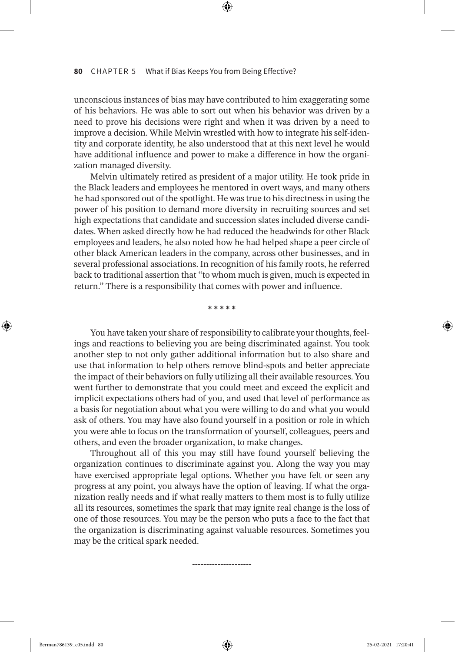#### **80** CHAPTER 5 What if Bias Keeps You from Being Effective?

unconscious instances of bias may have contributed to him exaggerating some of his behaviors. He was able to sort out when his behavior was driven by a need to prove his decisions were right and when it was driven by a need to improve a decision. While Melvin wrestled with how to integrate his self-identity and corporate identity, he also understood that at this next level he would have additional influence and power to make a difference in how the organization managed diversity.

⊕

Melvin ultimately retired as president of a major utility. He took pride in the Black leaders and employees he mentored in overt ways, and many others he had sponsored out of the spotlight. He was true to his directness in using the power of his position to demand more diversity in recruiting sources and set high expectations that candidate and succession slates included diverse candidates. When asked directly how he had reduced the headwinds for other Black employees and leaders, he also noted how he had helped shape a peer circle of other black American leaders in the company, across other businesses, and in several professional associations. In recognition of his family roots, he referred back to traditional assertion that "to whom much is given, much is expected in return." There is a responsibility that comes with power and influence.

**\* \* \* \* \***

You have taken your share of responsibility to calibrate your thoughts, feelings and reactions to believing you are being discriminated against. You took another step to not only gather additional information but to also share and use that information to help others remove blind-spots and better appreciate the impact of their behaviors on fully utilizing all their available resources. You went further to demonstrate that you could meet and exceed the explicit and implicit expectations others had of you, and used that level of performance as a basis for negotiation about what you were willing to do and what you would ask of others. You may have also found yourself in a position or role in which you were able to focus on the transformation of yourself, colleagues, peers and others, and even the broader organization, to make changes.

Throughout all of this you may still have found yourself believing the organization continues to discriminate against you. Along the way you may have exercised appropriate legal options. Whether you have felt or seen any progress at any point, you always have the option of leaving. If what the organization really needs and if what really matters to them most is to fully utilize all its resources, sometimes the spark that may ignite real change is the loss of one of those resources. You may be the person who puts a face to the fact that the organization is discriminating against valuable resources. Sometimes you may be the critical spark needed.

**---------------------**

⊕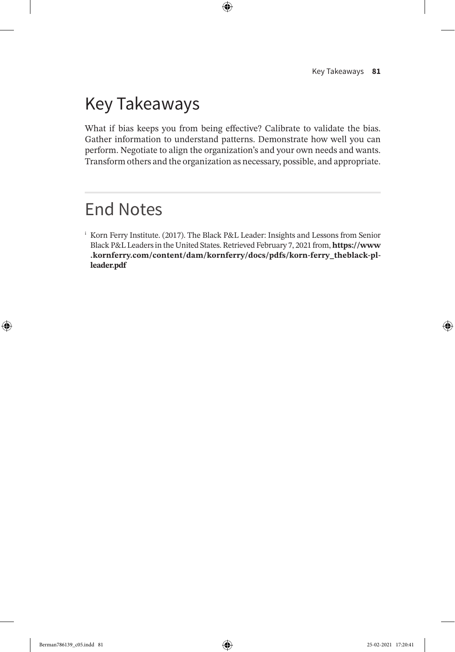## Key Takeaways

What if bias keeps you from being effective? Calibrate to validate the bias. Gather information to understand patterns. Demonstrate how well you can perform. Negotiate to align the organization's and your own needs and wants. Transform others and the organization as necessary, possible, and appropriate.

 $\bigoplus$ 

## End Notes

<sup>i</sup> Korn Ferry Institute. (2017). The Black P&L Leader: Insights and Lessons from Senior Black P&L Leaders in the United States. Retrieved February 7, 2021 from, **[https://www](https://www.kornferry.com/content/dam/kornferry/docs/pdfs/korn-ferry_theblack-pl-leader.pdf) [.kornferry.com/content/dam/kornferry/docs/pdfs/korn-ferry\\_theblack-pl](https://www.kornferry.com/content/dam/kornferry/docs/pdfs/korn-ferry_theblack-pl-leader.pdf)[leader.pdf](https://www.kornferry.com/content/dam/kornferry/docs/pdfs/korn-ferry_theblack-pl-leader.pdf)**

 $\bigoplus$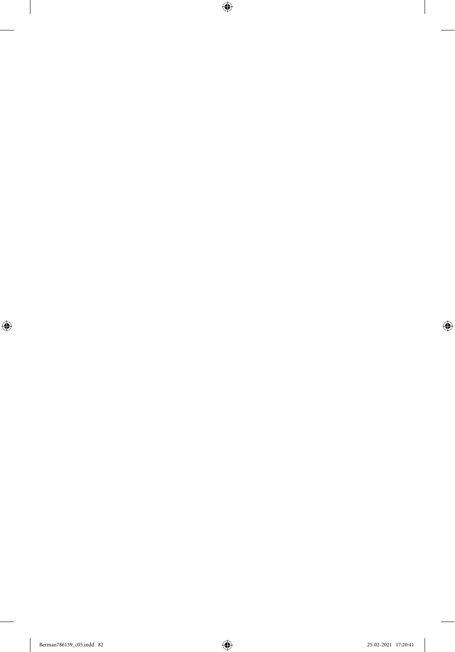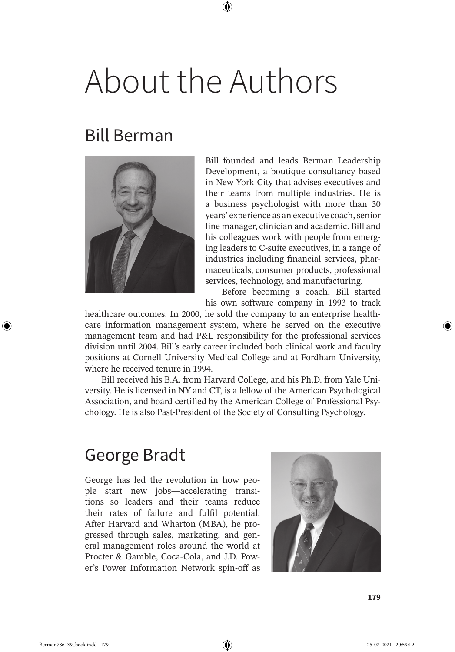# About the Authors

⊕

### Bill Berman



Bill founded and leads Berman Leadership Development, a boutique consultancy based in New York City that advises executives and their teams from multiple industries. He is a business psychologist with more than 30 years' experience as an executive coach, senior line manager, clinician and academic. Bill and his colleagues work with people from emerging leaders to C-suite executives, in a range of industries including financial services, pharmaceuticals, consumer products, professional services, technology, and manufacturing.

Before becoming a coach, Bill started his own software company in 1993 to track

healthcare outcomes. In 2000, he sold the company to an enterprise healthcare information management system, where he served on the executive management team and had P&L responsibility for the professional services division until 2004. Bill's early career included both clinical work and faculty positions at Cornell University Medical College and at Fordham University, where he received tenure in 1994.

Bill received his B.A. from Harvard College, and his Ph.D. from Yale University. He is licensed in NY and CT, is a fellow of the American Psychological Association, and board certified by the American College of Professional Psychology. He is also Past-President of the Society of Consulting Psychology.

#### George Bradt

George has led the revolution in how people start new jobs—accelerating transitions so leaders and their teams reduce their rates of failure and fulfil potential. After Harvard and Wharton (MBA), he progressed through sales, marketing, and general management roles around the world at Procter & Gamble, Coca-Cola, and J.D. Power's Power Information Network spin-off as



⊕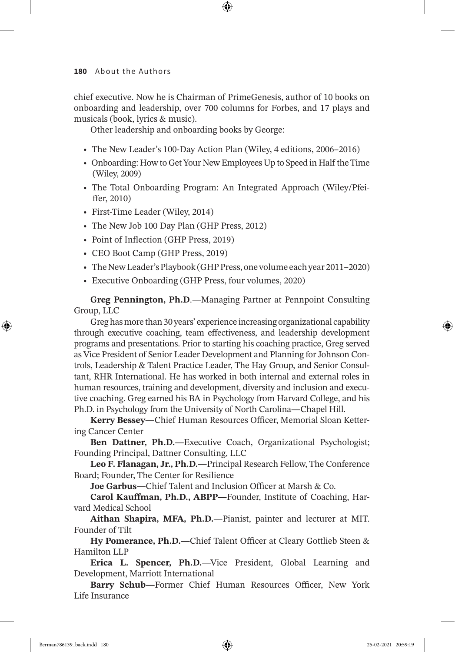chief executive. Now he is Chairman of PrimeGenesis, author of 10 books on onboarding and leadership, over 700 columns for Forbes, and 17 plays and musicals (book, lyrics & music).

 $\textcircled{\scriptsize{+}}$ 

Other leadership and onboarding books by George:

- The New Leader's 100-Day Action Plan (Wiley, 4 editions, 2006–2016)
- Onboarding: How to Get Your New Employees Up to Speed in Half the Time (Wiley, 2009)
- The Total Onboarding Program: An Integrated Approach (Wiley/Pfeiffer, 2010)
- First-Time Leader (Wiley, 2014)
- The New Job 100 Day Plan (GHP Press, 2012)
- Point of Inflection (GHP Press, 2019)
- CEO Boot Camp (GHP Press, 2019)
- The New Leader's Playbook (GHP Press, one volume each year 2011–2020)
- Executive Onboarding (GHP Press, four volumes, 2020)

**Greg Pennington, Ph.D**.—Managing Partner at Pennpoint Consulting Group, LLC

Greg has more than 30 years' experience increasing organizational capability through executive coaching, team effectiveness, and leadership development programs and presentations. Prior to starting his coaching practice, Greg served as Vice President of Senior Leader Development and Planning for Johnson Controls, Leadership & Talent Practice Leader, The Hay Group, and Senior Consultant, RHR International. He has worked in both internal and external roles in human resources, training and development, diversity and inclusion and executive coaching. Greg earned his BA in Psychology from Harvard College, and his Ph.D. in Psychology from the University of North Carolina—Chapel Hill.

**Kerry Bessey**—Chief Human Resources Officer, Memorial Sloan Kettering Cancer Center

**Ben Dattner, Ph.D.**—Executive Coach, Organizational Psychologist; Founding Principal, Dattner Consulting, LLC

**Leo F. Flanagan, Jr., Ph.D.**—Principal Research Fellow, The Conference Board; Founder, The Center for Resilience

**Joe Garbus—**Chief Talent and Inclusion Officer at Marsh & Co.

**Carol Kauffman, Ph.D., ABPP—**Founder, Institute of Coaching, Harvard Medical School

**Aithan Shapira, MFA, Ph.D.**—Pianist, painter and lecturer at MIT. Founder of Tilt

**Hy Pomerance, Ph.D.—**Chief Talent Officer at Cleary Gottlieb Steen & Hamilton LLP

**Erica L. Spencer, Ph.D.**—Vice President, Global Learning and Development, Marriott International

**Barry Schub—**Former Chief Human Resources Officer, New York Life Insurance

⊕

↔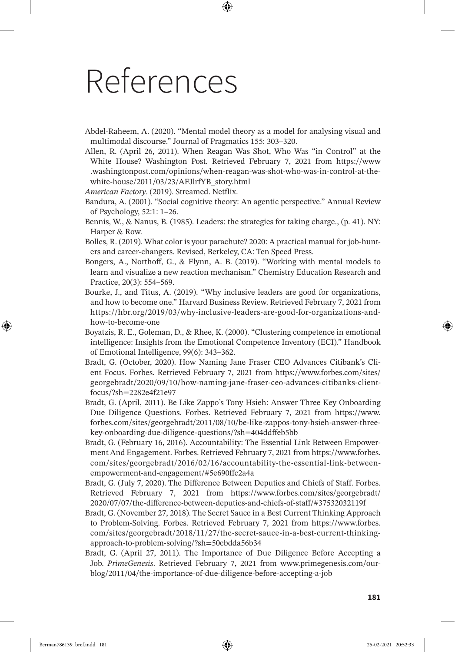## References

Abdel-Raheem, A. (2020). "Mental model theory as a model for analysing visual and multimodal discourse." Journal of Pragmatics 155: 303–320.

⊕

Allen, R. (April 26, 2011). When Reagan Was Shot, Who Was "in Control" at the White House? Washington Post. Retrieved February 7, 2021 from https://www .washingtonpost.com/opinions/when-reagan-was-shot-who-was-in-control-at-thewhite-house/2011/03/23/AFJlrfYB\_story.html

*American Factory*. (2019). Streamed. Netflix.

- Bandura, A. (2001). "Social cognitive theory: An agentic perspective." Annual Review of Psychology, 52:1: 1–26.
- Bennis, W., & Nanus, B. (1985). Leaders: the strategies for taking charge., (p. 41). NY: Harper & Row.
- Bolles, R. (2019). What color is your parachute? 2020: A practical manual for job-hunters and career-changers. Revised, Berkeley, CA: Ten Speed Press.
- Bongers, A., Northoff, G., & Flynn, A. B. (2019). "Working with mental models to learn and visualize a new reaction mechanism." Chemistry Education Research and Practice, 20(3): 554–569.
- Bourke, J., and Titus, A. (2019). "Why inclusive leaders are good for organizations, and how to become one." Harvard Business Review. Retrieved February 7, 2021 from [https://hbr.org/2019/03/why-inclusive-leaders-are-good-for-organizations-and](https://hbr.org/2019/03/why-inclusive-leaders-are-good-for-organizations-and-how-to-become-one)[how-to-become-one](https://hbr.org/2019/03/why-inclusive-leaders-are-good-for-organizations-and-how-to-become-one)
- Boyatzis, R. E., Goleman, D., & Rhee, K. (2000). "Clustering competence in emotional intelligence: Insights from the Emotional Competence Inventory (ECI)." Handbook of Emotional Intelligence, 99(6): 343–362.
- Bradt, G. (October, 2020). How Naming Jane Fraser CEO Advances Citibank's Client Focus. Forbes. Retrieved February 7, 2021 from [https://www.forbes.com/sites/](https://www.forbes.com/sites/georgebradt/2020/09/10/how-naming-jane-fraser-ceo-advances-citibanks-client-focus/?sh=2282e4f21e97) [georgebradt/2020/09/10/how-naming-jane-fraser-ceo-advances-citibanks-client](https://www.forbes.com/sites/georgebradt/2020/09/10/how-naming-jane-fraser-ceo-advances-citibanks-client-focus/?sh=2282e4f21e97)[focus/?sh=2282e4f21e97](https://www.forbes.com/sites/georgebradt/2020/09/10/how-naming-jane-fraser-ceo-advances-citibanks-client-focus/?sh=2282e4f21e97)
- Bradt, G. (April, 2011). Be Like Zappo's Tony Hsieh: Answer Three Key Onboarding Due Diligence Questions. Forbes. Retrieved February 7, 2021 from [https://www.](https://www.forbes.com/sites/georgebradt/2011/08/10/be-like-zappos-tony-hsieh-answer-three-key-onboarding-due-diligence-questions/?sh=404ddffeb5bb) [forbes.com/sites/georgebradt/2011/08/10/be-like-zappos-tony-hsieh-answer-three](https://www.forbes.com/sites/georgebradt/2011/08/10/be-like-zappos-tony-hsieh-answer-three-key-onboarding-due-diligence-questions/?sh=404ddffeb5bb)[key-onboarding-due-diligence-questions/?sh=404ddffeb5bb](https://www.forbes.com/sites/georgebradt/2011/08/10/be-like-zappos-tony-hsieh-answer-three-key-onboarding-due-diligence-questions/?sh=404ddffeb5bb)
- Bradt, G. (February 16, 2016). Accountability: The Essential Link Between Empowerment And Engagement. Forbes. Retrieved February 7, 2021 from https://www.forbes. com/sites/georgebradt/2016/02/16/accountability-the-essential-link-betweenempowerment-and-engagement/#5e690ffc2a4a
- Bradt, G. (July 7, 2020). The Difference Between Deputies and Chiefs of Staff. Forbes. Retrieved February 7, 2021 from [https://www.forbes.com/sites/georgebradt/](https://www.forbes.com/sites/georgebradt/2020/07/07/the-difference-between-deputies-and-chiefs-of-staff/#37532032119f) [2020/07/07/the-difference-between-deputies-and-chiefs-of-staff/#37532032119f](https://www.forbes.com/sites/georgebradt/2020/07/07/the-difference-between-deputies-and-chiefs-of-staff/#37532032119f)
- Bradt, G. (November 27, 2018). The Secret Sauce in a Best Current Thinking Approach to Problem-Solving. Forbes. Retrieved February 7, 2021 from [https://www.forbes.](https://www.forbes.com/sites/georgebradt/2018/11/27/the-secret-sauce-in-a-best-current-thinking-approach-to-problem-solving/?sh=50ebdda56b34) [com/sites/georgebradt/2018/11/27/the-secret-sauce-in-a-best-current-thinking](https://www.forbes.com/sites/georgebradt/2018/11/27/the-secret-sauce-in-a-best-current-thinking-approach-to-problem-solving/?sh=50ebdda56b34)[approach-to-problem-solving/?sh=50ebdda56b34](https://www.forbes.com/sites/georgebradt/2018/11/27/the-secret-sauce-in-a-best-current-thinking-approach-to-problem-solving/?sh=50ebdda56b34)
- Bradt, G. (April 27, 2011). The Importance of Due Diligence Before Accepting a Job. *PrimeGenesis*. Retrieved February 7, 2021 from www.primegenesis.com/ourblog/2011/04/the-importance-of-due-diligence-before-accepting-a-job

⊕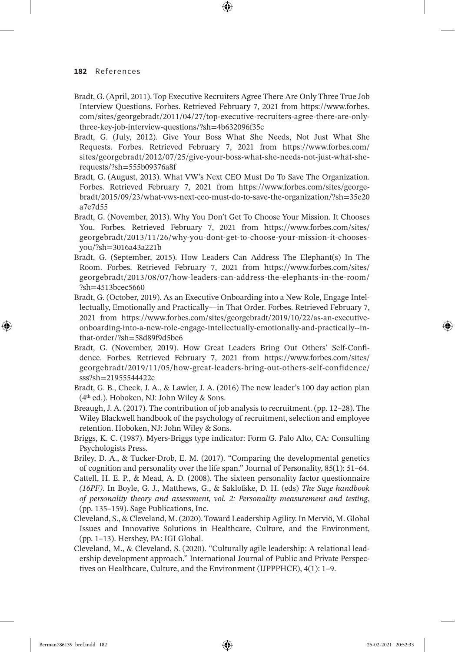#### **182** References

- Bradt, G. (April, 2011). Top Executive Recruiters Agree There Are Only Three True Job Interview Questions. Forbes. Retrieved February 7, 2021 from [https://www.forbes.](https://www.forbes.com/sites/georgebradt/2011/04/27/top-executive-recruiters-agree-there-are-only-three-key-job-interview-questions/?sh=4b632096f35c) [com/sites/georgebradt/2011/04/27/top-executive-recruiters-agree-there-are-only](https://www.forbes.com/sites/georgebradt/2011/04/27/top-executive-recruiters-agree-there-are-only-three-key-job-interview-questions/?sh=4b632096f35c)[three-key-job-interview-questions/?sh=4b632096f35c](https://www.forbes.com/sites/georgebradt/2011/04/27/top-executive-recruiters-agree-there-are-only-three-key-job-interview-questions/?sh=4b632096f35c)
- Bradt, G. (July, 2012). Give Your Boss What She Needs, Not Just What She Requests. Forbes. Retrieved February 7, 2021 from [https://www.forbes.com/](https://www.forbes.com/sites/georgebradt/2012/07/25/give-your-boss-what-she-needs-not-just-what-she-requests/?sh=555b09376a8f) [sites/georgebradt/2012/07/25/give-your-boss-what-she-needs-not-just-what-she](https://www.forbes.com/sites/georgebradt/2012/07/25/give-your-boss-what-she-needs-not-just-what-she-requests/?sh=555b09376a8f)[requests/?sh=555b09376a8f](https://www.forbes.com/sites/georgebradt/2012/07/25/give-your-boss-what-she-needs-not-just-what-she-requests/?sh=555b09376a8f)
- Bradt, G. (August, 2013). What VW's Next CEO Must Do To Save The Organization. Forbes. Retrieved February 7, 2021 from [https://www.forbes.com/sites/george](https://www.forbes.com/sites/georgebradt/2015/09/23/what-vws-next-ceo-must-do-to-save-the-organization/?sh=35e20a7e7d55)[bradt/2015/09/23/what-vws-next-ceo-must-do-to-save-the-organization/?sh=35e20](https://www.forbes.com/sites/georgebradt/2015/09/23/what-vws-next-ceo-must-do-to-save-the-organization/?sh=35e20a7e7d55) [a7e7d55](https://www.forbes.com/sites/georgebradt/2015/09/23/what-vws-next-ceo-must-do-to-save-the-organization/?sh=35e20a7e7d55)
- Bradt, G. (November, 2013). Why You Don't Get To Choose Your Mission. It Chooses You. Forbes. Retrieved February 7, 2021 from [https://www.forbes.com/sites/](https://www.forbes.com/sites/georgebradt/2013/11/26/why-you-dont-get-to-choose-your-mission-it-chooses-you/?sh=3016a43a221b) [georgebradt/2013/11/26/why-you-dont-get-to-choose-your-mission-it-chooses](https://www.forbes.com/sites/georgebradt/2013/11/26/why-you-dont-get-to-choose-your-mission-it-chooses-you/?sh=3016a43a221b)[you/?sh=3016a43a221b](https://www.forbes.com/sites/georgebradt/2013/11/26/why-you-dont-get-to-choose-your-mission-it-chooses-you/?sh=3016a43a221b)
- Bradt, G. (September, 2015). How Leaders Can Address The Elephant(s) In The Room. Forbes. Retrieved February 7, 2021 from [https://www.forbes.com/sites/](https://www.forbes.com/sites/georgebradt/2013/08/07/how-leaders-can-address-the-elephants-in-the-room/?sh=4513bcec5660) [georgebradt/2013/08/07/how-leaders-can-address-the-elephants-in-the-room/](https://www.forbes.com/sites/georgebradt/2013/08/07/how-leaders-can-address-the-elephants-in-the-room/?sh=4513bcec5660) [?sh=4513bcec5660](https://www.forbes.com/sites/georgebradt/2013/08/07/how-leaders-can-address-the-elephants-in-the-room/?sh=4513bcec5660)
- Bradt, G. (October, 2019). As an Executive Onboarding into a New Role, Engage Intellectually, Emotionally and Practically—in That Order. Forbes. Retrieved February 7, 2021 from [https://www.forbes.com/sites/georgebradt/2019/10/22/as-an-executive](https://www.forbes.com/sites/georgebradt/2019/10/22/as-an-executive-onboarding-into-a-new-role-engage-intellectually-emotionally-and-practically--in-that-order/?sh=58d89f9d5be6)[onboarding-into-a-new-role-engage-intellectually-emotionally-and-practically--in](https://www.forbes.com/sites/georgebradt/2019/10/22/as-an-executive-onboarding-into-a-new-role-engage-intellectually-emotionally-and-practically--in-that-order/?sh=58d89f9d5be6)[that-order/?sh=58d89f9d5be6](https://www.forbes.com/sites/georgebradt/2019/10/22/as-an-executive-onboarding-into-a-new-role-engage-intellectually-emotionally-and-practically--in-that-order/?sh=58d89f9d5be6)
- Bradt, G. (November, 2019). How Great Leaders Bring Out Others' Self-Confidence. Forbes. Retrieved February 7, 2021 from [https://www.forbes.com/sites/](https://www.forbes.com/sites/georgebradt/2019/11/05/how-great-leaders-bring-out-others-self-confidence/?sh=21955544422c) [georgebradt/2019/11/05/how-great-leaders-bring-out-others-self-confidence/](https://www.forbes.com/sites/georgebradt/2019/11/05/how-great-leaders-bring-out-others-self-confidence/?sh=21955544422c) [sss?sh=21955544422c](https://www.forbes.com/sites/georgebradt/2019/11/05/how-great-leaders-bring-out-others-self-confidence/?sh=21955544422c)
- Bradt, G. B., Check, J. A., & Lawler, J. A. (2016) The new leader's 100 day action plan (4th ed.). Hoboken, NJ: John Wiley & Sons.
- Breaugh, J. A. (2017). The contribution of job analysis to recruitment. (pp. 12–28). The Wiley Blackwell handbook of the psychology of recruitment, selection and employee retention. Hoboken, NJ: John Wiley & Sons.
- Briggs, K. C. (1987). Myers-Briggs type indicator: Form G. Palo Alto, CA: Consulting Psychologists Press.

Briley, D. A., & Tucker-Drob, E. M. (2017). "Comparing the developmental genetics of cognition and personality over the life span." Journal of Personality, 85(1): 51–64.

- Cattell, H. E. P., & Mead, A. D. (2008). The sixteen personality factor questionnaire *(16PF)*. In Boyle, G. J., Matthews, G., & Saklofske, D. H. (eds) *The Sage handbook of personality theory and assessment, vol. 2: Personality measurement and testing*, (pp. 135–159). Sage Publications, Inc.
- Cleveland, S., & Cleveland, M. (2020). Toward Leadership Agility. In Merviö, M. Global Issues and Innovative Solutions in Healthcare, Culture, and the Environment, (pp. 1–13). Hershey, PA: IGI Global.
- Cleveland, M., & Cleveland, S. (2020). "Culturally agile leadership: A relational leadership development approach." International Journal of Public and Private Perspectives on Healthcare, Culture, and the Environment (IJPPPHCE), 4(1): 1–9.

⊕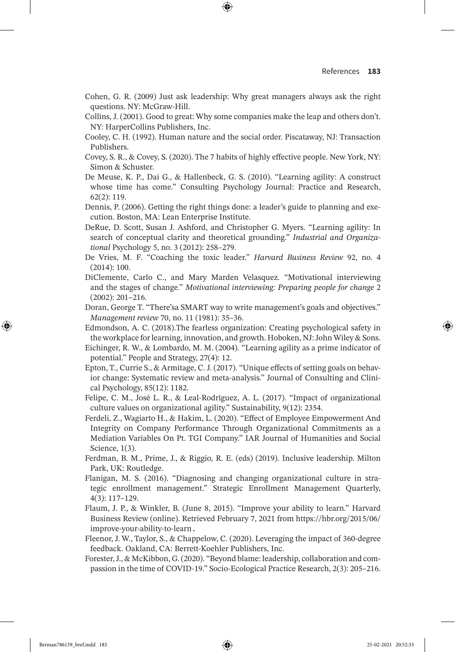Cohen, G. R. (2009) Just ask leadership: Why great managers always ask the right questions. NY: McGraw-Hill.

⊕

- Collins, J. (2001). Good to great: Why some companies make the leap and others don't. NY: HarperCollins Publishers, Inc.
- Cooley, C. H. (1992). Human nature and the social order. Piscataway, NJ: Transaction Publishers.
- Covey, S. R., & Covey, S. (2020). The 7 habits of highly effective people. New York, NY: Simon & Schuster.
- De Meuse, K. P., Dai G., & Hallenbeck, G. S. (2010). "Learning agility: A construct whose time has come." Consulting Psychology Journal: Practice and Research, 62(2): 119.
- Dennis, P. (2006). Getting the right things done: a leader's guide to planning and execution. Boston, MA: Lean Enterprise Institute.
- DeRue, D. Scott, Susan J. Ashford, and Christopher G. Myers. "Learning agility: In search of conceptual clarity and theoretical grounding." *Industrial and Organizational* Psychology 5, no. 3 (2012): 258–279.
- De Vries, M. F. "Coaching the toxic leader." *Harvard Business Review* 92, no. 4 (2014): 100.
- DiClemente, Carlo C., and Mary Marden Velasquez. "Motivational interviewing and the stages of change." *Motivational interviewing: Preparing people for change* 2 (2002): 201–216.
- Doran, George T. "There'sa SMART way to write management's goals and objectives." *Management review* 70, no. 11 (1981): 35–36.
- Edmondson, A. C. (2018).The fearless organization: Creating psychological safety in the workplace for learning, innovation, and growth. Hoboken, NJ: John Wiley & Sons.
- Eichinger, R. W., & Lombardo, M. M. (2004). "Learning agility as a prime indicator of potential." People and Strategy, 27(4): 12.
- Epton, T., Currie S., & Armitage, C. J. (2017). "Unique effects of setting goals on behavior change: Systematic review and meta-analysis." Journal of Consulting and Clinical Psychology, 85(12): 1182.
- Felipe, C. M., José L. R., & Leal-Rodríguez, A. L. (2017). "Impact of organizational culture values on organizational agility." Sustainability, 9(12): 2354.
- Ferdeli, Z., Wagiarto H., & Hakim, L. (2020). "Effect of Employee Empowerment And Integrity on Company Performance Through Organizational Commitments as a Mediation Variables On Pt. TGI Company." IAR Journal of Humanities and Social Science, 1(3).
- Ferdman, B. M., Prime, J., & Riggio, R. E. (eds) (2019). Inclusive leadership. Milton Park, UK: Routledge.
- Flanigan, M. S. (2016). "Diagnosing and changing organizational culture in strategic enrollment management." Strategic Enrollment Management Quarterly, 4(3): 117–129.
- Flaum, J. P., & Winkler, B. (June 8, 2015). "Improve your ability to learn." Harvard Business Review (online). Retrieved February 7, 2021 from https://hbr.org/2015/06/ improve-your-ability-to-learn.
- Fleenor, J. W., Taylor, S., & Chappelow, C. (2020). Leveraging the impact of 360-degree feedback. Oakland, CA: Berrett-Koehler Publishers, Inc.
- Forester, J., & McKibbon, G. (2020). "Beyond blame: leadership, collaboration and compassion in the time of COVID-19." Socio-Ecological Practice Research, 2(3): 205–216.

Berman786139\_bref.indd 183 25-02-2021 20:52:33

⊕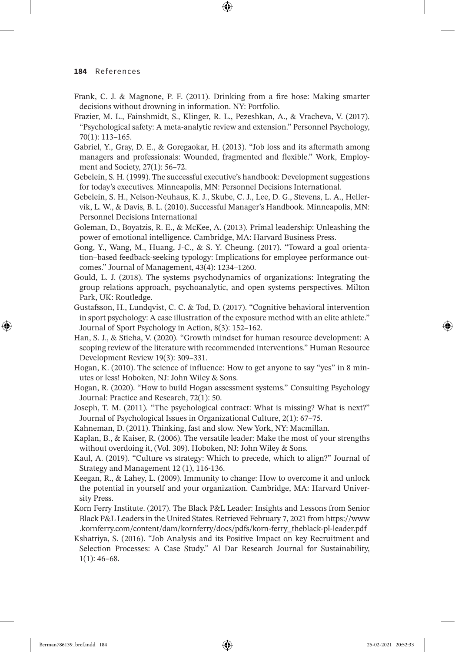#### **184** References

Frank, C. J. & Magnone, P. F. (2011). Drinking from a fire hose: Making smarter decisions without drowning in information. NY: Portfolio.

⊕

- Frazier, M. L., Fainshmidt, S., Klinger, R. L., Pezeshkan, A., & Vracheva, V. (2017). "Psychological safety: A meta-analytic review and extension." Personnel Psychology, 70(1): 113–165.
- Gabriel, Y., Gray, D. E., & Goregaokar, H. (2013). "Job loss and its aftermath among managers and professionals: Wounded, fragmented and flexible." Work, Employment and Society, 27(1): 56–72.
- Gebelein, S. H. (1999). The successful executive's handbook: Development suggestions for today's executives. Minneapolis, MN: Personnel Decisions International.
- Gebelein, S. H., Nelson-Neuhaus, K. J., Skube, C. J., Lee, D. G., Stevens, L. A., Hellervik, L. W., & Davis, B. L. (2010). Successful Manager's Handbook. Minneapolis, MN: Personnel Decisions International
- Goleman, D., Boyatzis, R. E., & McKee, A. (2013). Primal leadership: Unleashing the power of emotional intelligence. Cambridge, MA: Harvard Business Press.
- Gong, Y., Wang, M., Huang, J-C., & S. Y. Cheung. (2017). "Toward a goal orientation–based feedback-seeking typology: Implications for employee performance outcomes." Journal of Management, 43(4): 1234–1260.
- Gould, L. J. (2018). The systems psychodynamics of organizations: Integrating the group relations approach, psychoanalytic, and open systems perspectives. Milton Park, UK: Routledge.
- Gustafsson, H., Lundqvist, C. C. & Tod, D. (2017). "Cognitive behavioral intervention in sport psychology: A case illustration of the exposure method with an elite athlete." Journal of Sport Psychology in Action, 8(3): 152–162.
- Han, S. J., & Stieha, V. (2020). "Growth mindset for human resource development: A scoping review of the literature with recommended interventions." Human Resource Development Review 19(3): 309–331.

Hogan, K. (2010). The science of influence: How to get anyone to say "yes" in 8 minutes or less! Hoboken, NJ: John Wiley & Sons.

Hogan, R. (2020). "How to build Hogan assessment systems." Consulting Psychology Journal: Practice and Research, 72(1): 50.

Joseph, T. M. (2011). "The psychological contract: What is missing? What is next?" Journal of Psychological Issues in Organizational Culture, 2(1): 67–75.

Kahneman, D. (2011). Thinking, fast and slow. New York, NY: Macmillan.

Kaplan, B., & Kaiser, R. (2006). The versatile leader: Make the most of your strengths without overdoing it, (Vol. 309). Hoboken, NJ: John Wiley & Sons.

Kaul, A. (2019). "Culture vs strategy: Which to precede, which to align?" Journal of Strategy and Management 12 (1), 116-136.

Keegan, R., & Lahey, L. (2009). Immunity to change: How to overcome it and unlock the potential in yourself and your organization. Cambridge, MA: Harvard University Press.

Korn Ferry Institute. (2017). The Black P&L Leader: Insights and Lessons from Senior Black P&L Leaders in the United States. Retrieved February 7, 2021 from [https://www](https://www.kornferry.com/content/dam/kornferry/docs/pdfs/korn-ferry_theblack-pl-leader.pdf) [.kornferry.com/content/dam/kornferry/docs/pdfs/korn-ferry\\_theblack-pl-leader.pdf](https://www.kornferry.com/content/dam/kornferry/docs/pdfs/korn-ferry_theblack-pl-leader.pdf)

Kshatriya, S. (2016). "Job Analysis and its Positive Impact on key Recruitment and Selection Processes: A Case Study." Al Dar Research Journal for Sustainability,  $1(1)$ : 46–68.

↔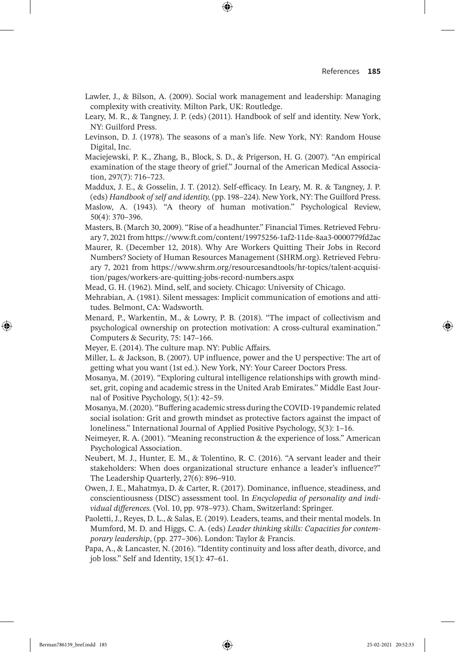- Lawler, J., & Bilson, A. (2009). Social work management and leadership: Managing complexity with creativity. Milton Park, UK: Routledge.
- Leary, M. R., & Tangney, J. P. (eds) (2011). Handbook of self and identity. New York, NY: Guilford Press.
- Levinson, D. J. (1978). The seasons of a man's life. New York, NY: Random House Digital, Inc.
- Maciejewski, P. K., Zhang, B., Block, S. D., & Prigerson, H. G. (2007). "An empirical examination of the stage theory of grief." Journal of the American Medical Association, 297(7): 716–723.

Maddux, J. E., & Gosselin, J. T. (2012). Self-efficacy. In Leary, M. R. & Tangney, J. P. (eds) *Handbook of self and identity,* (pp. 198–224). New York, NY: The Guilford Press.

- Maslow, A. (1943). "A theory of human motivation." Psychological Review, 50(4): 370–396.
- Masters, B. (March 30, 2009). "Rise of a headhunter." Financial Times. Retrieved February 7, 2021 from<https://www.ft.com/content/19975256-1af2-11de-8aa3-0000779fd2ac>

Maurer, R. (December 12, 2018). Why Are Workers Quitting Their Jobs in Record Numbers? Society of Human Resources Management [\(SHRM.org](http://shrm.org)). Retrieved February 7, 2021 from [https://www.shrm.org/resourcesandtools/hr-topics/talent-acquisi](https://www.shrm.org/resourcesandtools/hr-topics/talent-acquisition/pages/workers-are-quitting-jobs-record-numbers.aspx)[tion/pages/workers-are-quitting-jobs-record-numbers.aspx](https://www.shrm.org/resourcesandtools/hr-topics/talent-acquisition/pages/workers-are-quitting-jobs-record-numbers.aspx)

- Mead, G. H. (1962). Mind, self, and society. Chicago: University of Chicago.
- Mehrabian, A. (1981). Silent messages: Implicit communication of emotions and attitudes. Belmont, CA: Wadsworth.
- Menard, P., Warkentin, M., & Lowry, P. B. (2018). "The impact of collectivism and psychological ownership on protection motivation: A cross-cultural examination." Computers & Security, 75: 147–166.
- Meyer, E. (2014). The culture map. NY: Public Affairs.
- Miller, L. & Jackson, B. (2007). UP influence, power and the U perspective: The art of getting what you want (1st ed.). New York, NY: Your Career Doctors Press.
- Mosanya, M. (2019). "Exploring cultural intelligence relationships with growth mindset, grit, coping and academic stress in the United Arab Emirates." Middle East Journal of Positive Psychology, 5(1): 42–59.
- Mosanya, M. (2020). "Buffering academic stress during the COVID-19 pandemic related social isolation: Grit and growth mindset as protective factors against the impact of loneliness." International Journal of Applied Positive Psychology, 5(3): 1–16.
- Neimeyer, R. A. (2001). "Meaning reconstruction & the experience of loss." American Psychological Association.
- Neubert, M. J., Hunter, E. M., & Tolentino, R. C. (2016). "A servant leader and their stakeholders: When does organizational structure enhance a leader's influence?" The Leadership Quarterly, 27(6): 896–910.
- Owen, J. E., Mahatmya, D. & Carter, R. (2017). Dominance, influence, steadiness, and conscientiousness (DISC) assessment tool. In *Encyclopedia of personality and individual differences.* (Vol. 10, pp. 978–973). Cham, Switzerland: Springer.
- Paoletti, J., Reyes, D. L., & Salas, E. (2019). Leaders, teams, and their mental models. In Mumford, M. D. and Higgs, C. A. (eds) *Leader thinking skills: Capacities for contemporary leadership*, (pp. 277–306). London: Taylor & Francis.
- Papa, A., & Lancaster, N. (2016). "Identity continuity and loss after death, divorce, and job loss." Self and Identity, 15(1): 47–61.

↔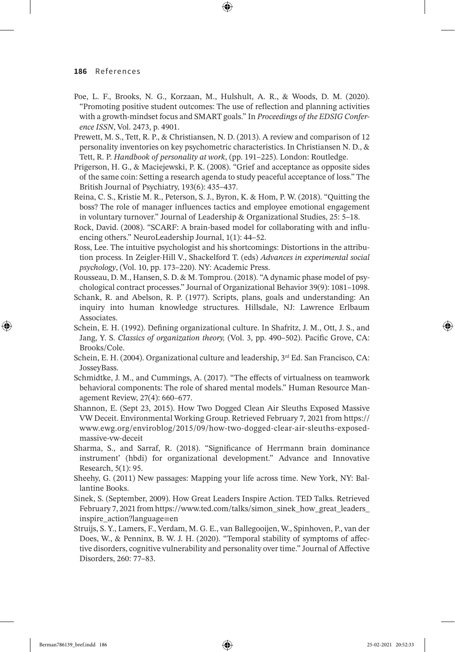#### **186** References

Poe, L. F., Brooks, N. G., Korzaan, M., Hulshult, A. R., & Woods, D. M. (2020). "Promoting positive student outcomes: The use of reflection and planning activities with a growth-mindset focus and SMART goals." In *Proceedings of the EDSIG Conference ISSN*, Vol. 2473, p. 4901.

⊕

- Prewett, M. S., Tett, R. P., & Christiansen, N. D. (2013). A review and comparison of 12 personality inventories on key psychometric characteristics. In Christiansen N. D., & Tett, R. P. *Handbook of personality at work*, (pp. 191–225). London: Routledge.
- Prigerson, H. G., & Maciejewski, P. K. (2008). "Grief and acceptance as opposite sides of the same coin: Setting a research agenda to study peaceful acceptance of loss." The British Journal of Psychiatry, 193(6): 435–437.
- Reina, C. S., Kristie M. R., Peterson, S. J., Byron, K. & Hom, P. W. (2018). "Quitting the boss? The role of manager influences tactics and employee emotional engagement in voluntary turnover." Journal of Leadership & Organizational Studies, 25: 5–18.
- Rock, David. (2008). "SCARF: A brain-based model for collaborating with and influencing others." NeuroLeadership Journal, 1(1): 44–52.
- Ross, Lee. The intuitive psychologist and his shortcomings: Distortions in the attribution process. In Zeigler-Hill V., Shackelford T. (eds) *Advances in experimental social psychology*, (Vol. 10, pp. 173–220). NY: Academic Press.
- Rousseau, D. M., Hansen, S. D. & M. Tomprou. (2018). "A dynamic phase model of psychological contract processes." Journal of Organizational Behavior 39(9): 1081–1098.
- Schank, R. and Abelson, R. P. (1977). Scripts, plans, goals and understanding: An inquiry into human knowledge structures. Hillsdale, NJ: Lawrence Erlbaum Associates.
- Schein, E. H. (1992). Defining organizational culture. In Shafritz, J. M., Ott, J. S., and Jang, Y. S. *Classics of organization theory,* (Vol. 3, pp. 490–502). Pacific Grove, CA: Brooks/Cole.
- Schein, E. H. (2004). Organizational culture and leadership,  $3<sup>rd</sup>$  Ed. San Francisco, CA: JosseyBass.
- Schmidtke, J. M., and Cummings, A. (2017). "The effects of virtualness on teamwork behavioral components: The role of shared mental models." Human Resource Management Review, 27(4): 660–677.
- Shannon, E. (Sept 23, 2015). How Two Dogged Clean Air Sleuths Exposed Massive VW Deceit. Environmental Working Group. Retrieved February 7, 2021 from https:// www.ewg.org/enviroblog/2015/09/how-two-dogged-clear-air-sleuths-exposedmassive-vw-deceit
- Sharma, S., and Sarraf, R. (2018). "Significance of Herrmann brain dominance instrument' (hbdi) for organizational development." Advance and Innovative Research, 5(1): 95.
- Sheehy, G. (2011) New passages: Mapping your life across time. New York, NY: Ballantine Books.
- Sinek, S. (September, 2009). How Great Leaders Inspire Action. TED Talks. Retrieved February 7, 2021 from [https://www.ted.com/talks/simon\\_sinek\\_how\\_great\\_leaders\\_](https://www.ted.com/talks/simon_sinek_how_great_leaders_inspire_action?language=en) [inspire\\_action?language=en](https://www.ted.com/talks/simon_sinek_how_great_leaders_inspire_action?language=en)
- Struijs, S. Y., Lamers, F., Verdam, M. G. E., van Ballegooijen, W., Spinhoven, P., van der Does, W., & Penninx, B. W. J. H. (2020). "Temporal stability of symptoms of affective disorders, cognitive vulnerability and personality over time." Journal of Affective Disorders, 260: 77–83.

⊕